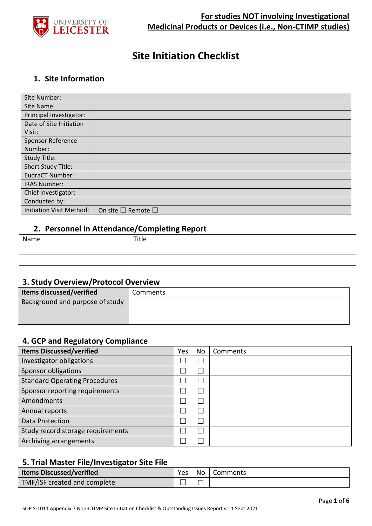

# **Site Initiation Checklist**

## **1. Site Information**

| Site Number:                    |                                    |
|---------------------------------|------------------------------------|
| Site Name:                      |                                    |
| Principal Investigator:         |                                    |
| Date of Site Initiation         |                                    |
| Visit:                          |                                    |
| <b>Sponsor Reference</b>        |                                    |
| Number:                         |                                    |
| Study Title:                    |                                    |
| Short Study Title:              |                                    |
| EudraCT Number:                 |                                    |
| <b>IRAS Number:</b>             |                                    |
| Chief Investigator:             |                                    |
| Conducted by:                   |                                    |
| <b>Initiation Visit Method:</b> | On site $\square$ Remote $\square$ |

## **2. Personnel in Attendance/Completing Report**

| Name | Title |
|------|-------|
|      |       |
|      |       |

## **3. Study Overview/Protocol Overview**

| Items discussed/verified        | Comments |
|---------------------------------|----------|
| Background and purpose of study |          |
|                                 |          |
|                                 |          |

#### **4. GCP and Regulatory Compliance**

| <b>Items Discussed/verified</b>      | Yes | No | Comments |
|--------------------------------------|-----|----|----------|
| Investigator obligations             |     |    |          |
| Sponsor obligations                  |     |    |          |
| <b>Standard Operating Procedures</b> |     |    |          |
| Sponsor reporting requirements       |     |    |          |
| Amendments                           |     |    |          |
| Annual reports                       |     |    |          |
| Data Protection                      |     |    |          |
| Study record storage requirements    |     |    |          |
| Archiving arrangements               |     |    |          |

## **5. Trial Master File/Investigator Site File**

| <b>Items Discussed/verified</b> | <b>Yes</b> | No   Comments |
|---------------------------------|------------|---------------|
| TMF/ISF created and complete    |            |               |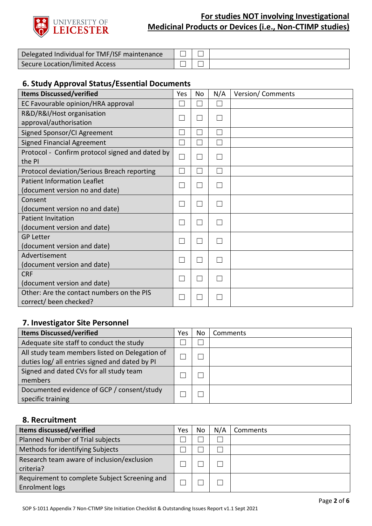

| Delegated Individual for TMF/ISF maintenance |  |  |
|----------------------------------------------|--|--|
| Secure Location/limited Access               |  |  |

## **6. Study Approval Status/Essential Documents**

| <b>Items Discussed/verified</b>                 | Yes | No | N/A          | Version/Comments |
|-------------------------------------------------|-----|----|--------------|------------------|
| EC Favourable opinion/HRA approval              | ×   |    |              |                  |
| R&D/R&I/Host organisation                       |     |    |              |                  |
| approval/authorisation                          |     |    | $\mathbf{L}$ |                  |
| Signed Sponsor/CI Agreement                     |     |    | $\mathbf{L}$ |                  |
| <b>Signed Financial Agreement</b>               | ×   |    | $\mathbf{L}$ |                  |
| Protocol - Confirm protocol signed and dated by |     |    | $\mathbf{L}$ |                  |
| the PI                                          |     |    |              |                  |
| Protocol deviation/Serious Breach reporting     | ×   |    | П            |                  |
| <b>Patient Information Leaflet</b>              | ×   |    | $\mathbf{L}$ |                  |
| (document version no and date)                  |     |    |              |                  |
| Consent                                         |     |    | L            |                  |
| (document version no and date)                  |     |    |              |                  |
| <b>Patient Invitation</b>                       | L.  |    | $\mathbf{L}$ |                  |
| (document version and date)                     |     |    |              |                  |
| <b>GP Letter</b>                                | ×   |    | $\mathbf{L}$ |                  |
| (document version and date)                     |     |    |              |                  |
| Advertisement                                   | ×   |    |              |                  |
| (document version and date)                     |     |    |              |                  |
| <b>CRF</b>                                      | ×   |    | $\mathbf{L}$ |                  |
| (document version and date)                     |     |    |              |                  |
| Other: Are the contact numbers on the PIS       |     |    |              |                  |
| correct/ been checked?                          |     |    |              |                  |

## **7. Investigator Site Personnel**

| <b>Items Discussed/verified</b>                                                                  | Yes | No | Comments |
|--------------------------------------------------------------------------------------------------|-----|----|----------|
| Adequate site staff to conduct the study                                                         |     |    |          |
| All study team members listed on Delegation of<br>duties log/ all entries signed and dated by PI |     |    |          |
| Signed and dated CVs for all study team<br>members                                               |     |    |          |
| Documented evidence of GCP / consent/study<br>specific training                                  |     |    |          |

#### **8. Recruitment**

| <b>Items discussed/verified</b>                                 | Yes | No | N/A | Comments |
|-----------------------------------------------------------------|-----|----|-----|----------|
| Planned Number of Trial subjects                                |     |    |     |          |
| Methods for identifying Subjects                                |     |    |     |          |
| Research team aware of inclusion/exclusion<br>criteria?         |     |    |     |          |
| Requirement to complete Subject Screening and<br>Enrolment logs |     |    |     |          |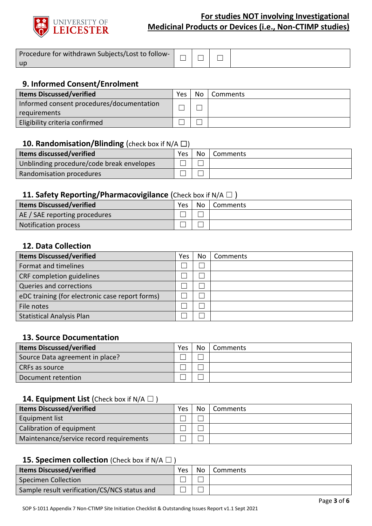

| Procedure for withdrawn Subjects/Lost to follow- |  |  |
|--------------------------------------------------|--|--|
| <b>up</b>                                        |  |  |

## **9. Informed Consent/Enrolment**

| <b>Items Discussed/verified</b>           | Yes | No. | Comments |
|-------------------------------------------|-----|-----|----------|
| Informed consent procedures/documentation |     |     |          |
| requirements                              |     |     |          |
| Eligibility criteria confirmed            |     |     |          |

## **10. Randomisation/Blinding** (check box if N/A □)

| $\cdot$                                   |     |      |          |
|-------------------------------------------|-----|------|----------|
| <b>Items discussed/verified</b>           | Yes | No l | Comments |
| Unblinding procedure/code break envelopes |     |      |          |
| Randomisation procedures                  |     |      |          |
|                                           |     |      |          |

## **11. Safety Reporting/Pharmacovigilance** (Check box if N/A □)

| <b>Items Discussed/verified</b> | Yes | No | Comments |
|---------------------------------|-----|----|----------|
| AE / SAE reporting procedures   |     |    |          |
| <b>Notification process</b>     |     |    |          |

## **12. Data Collection**

| <b>Items Discussed/verified</b>                 | Yes | Νo | Comments |
|-------------------------------------------------|-----|----|----------|
| Format and timelines                            |     |    |          |
| CRF completion guidelines                       |     |    |          |
| Queries and corrections                         |     |    |          |
| eDC training (for electronic case report forms) |     |    |          |
| File notes                                      |     |    |          |
| <b>Statistical Analysis Plan</b>                |     |    |          |

#### **13. Source Documentation**

| <b>Items Discussed/verified</b> | Yes | <b>No</b> | <b>Comments</b> |
|---------------------------------|-----|-----------|-----------------|
| Source Data agreement in place? |     |           |                 |
| CRFs as source                  |     |           |                 |
| Document retention              |     |           |                 |

#### **14. Equipment List** (Check box if N/A □)

| <b>Items Discussed/verified</b>         | Yes | No l | Comments |
|-----------------------------------------|-----|------|----------|
| Equipment list                          |     |      |          |
| Calibration of equipment                |     |      |          |
| Maintenance/service record requirements |     |      |          |

## **15. Specimen collection** (Check box if N/A □ )

| <b>Items Discussed/verified</b>              | Yes | No. | Comments |
|----------------------------------------------|-----|-----|----------|
| Specimen Collection                          |     |     |          |
| Sample result verification/CS/NCS status and |     |     |          |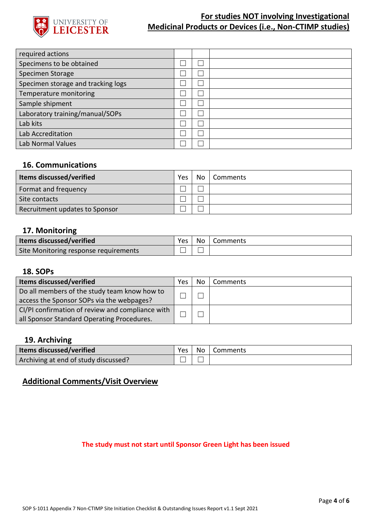

| required actions                   |  |  |
|------------------------------------|--|--|
| Specimens to be obtained           |  |  |
| Specimen Storage                   |  |  |
| Specimen storage and tracking logs |  |  |
| Temperature monitoring             |  |  |
| Sample shipment                    |  |  |
| Laboratory training/manual/SOPs    |  |  |
| Lab kits                           |  |  |
| Lab Accreditation                  |  |  |
| Lab Normal Values                  |  |  |

## **16. Communications**

| <b>Items discussed/verified</b> | <b>Yes</b> | No   Comments |
|---------------------------------|------------|---------------|
| Format and frequency            |            |               |
| Site contacts                   |            |               |
| Recruitment updates to Sponsor  |            |               |

#### **17. Monitoring**

| <b>Items discussed/verified</b>       | Yes. | No l | <b>Comments</b> |
|---------------------------------------|------|------|-----------------|
| Site Monitoring response requirements |      |      |                 |

## **18. SOPs**

| <b>Items discussed/verified</b>                                                                | Yes | No | Comments |
|------------------------------------------------------------------------------------------------|-----|----|----------|
| Do all members of the study team know how to<br>access the Sponsor SOPs via the webpages?      |     |    |          |
| CI/PI confirmation of review and compliance with<br>all Sponsor Standard Operating Procedures. |     |    |          |

## **19. Archiving**

| <b>Items discussed/verified</b>      | Yes | No   Comments |
|--------------------------------------|-----|---------------|
| Archiving at end of study discussed? |     |               |

## **Additional Comments/Visit Overview**

#### **The study must not start until Sponsor Green Light has been issued**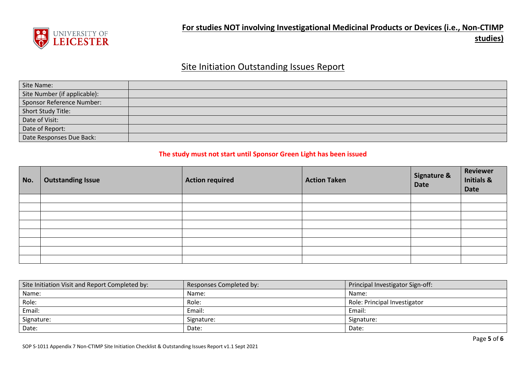

# Site Initiation Outstanding Issues Report

| Site Name:                   |  |
|------------------------------|--|
| Site Number (if applicable): |  |
| Sponsor Reference Number:    |  |
| Short Study Title:           |  |
| Date of Visit:               |  |
| Date of Report:              |  |
| Date Responses Due Back:     |  |

#### **The study must not start until Sponsor Green Light has been issued**

| No. | <b>Outstanding Issue</b> | <b>Action required</b> | <b>Action Taken</b> | <b>Signature &amp;</b><br><b>Date</b> | Reviewer<br><b>Initials &amp;</b><br>Date |
|-----|--------------------------|------------------------|---------------------|---------------------------------------|-------------------------------------------|
|     |                          |                        |                     |                                       |                                           |
|     |                          |                        |                     |                                       |                                           |
|     |                          |                        |                     |                                       |                                           |
|     |                          |                        |                     |                                       |                                           |
|     |                          |                        |                     |                                       |                                           |
|     |                          |                        |                     |                                       |                                           |
|     |                          |                        |                     |                                       |                                           |
|     |                          |                        |                     |                                       |                                           |

| Site Initiation Visit and Report Completed by: | Responses Completed by: | Principal Investigator Sign-off: |
|------------------------------------------------|-------------------------|----------------------------------|
| Name:                                          | Name:                   | Name:                            |
| Role:                                          | Role:                   | Role: Principal Investigator     |
| Email:                                         | Email:                  | Email:                           |
| Signature:                                     | Signature:              | Signature:                       |
| Date:                                          | Date:                   | Date:                            |